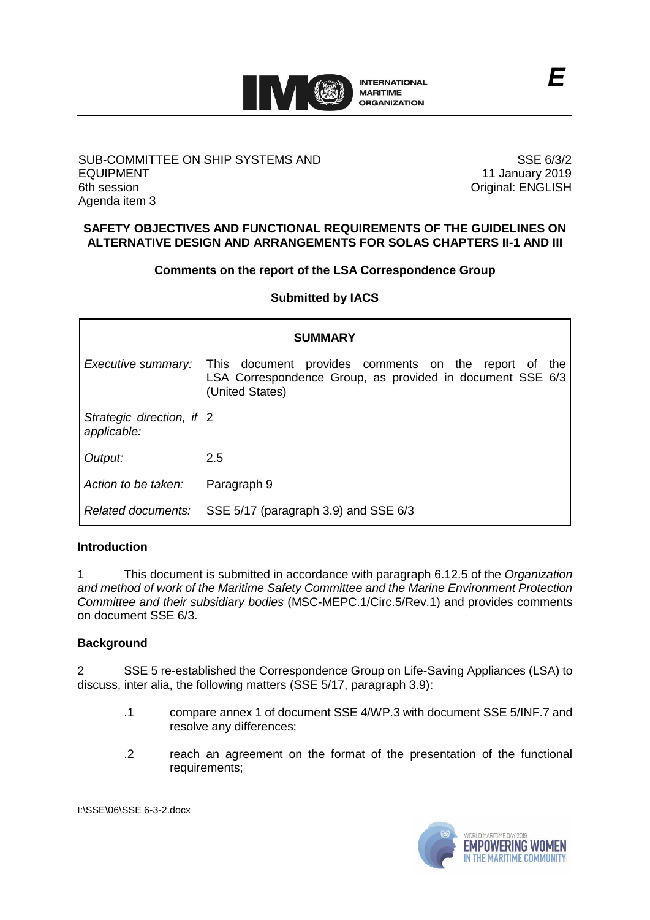

#### SUB-COMMITTEE ON SHIP SYSTEMS AND EQUIPMENT 6th session Agenda item 3

SSE 6/3/2 11 January 2019 Original: ENGLISH

### **SAFETY OBJECTIVES AND FUNCTIONAL REQUIREMENTS OF THE GUIDELINES ON ALTERNATIVE DESIGN AND ARRANGEMENTS FOR SOLAS CHAPTERS II-1 AND III**

### **Comments on the report of the LSA Correspondence Group**

**Submitted by IACS**

| <b>SUMMARY</b>                           |                                                                                                                                                                |
|------------------------------------------|----------------------------------------------------------------------------------------------------------------------------------------------------------------|
|                                          | <i>Executive summary:</i> This document provides comments on the report of the<br>LSA Correspondence Group, as provided in document SSE 6/3<br>(United States) |
| Strategic direction, if 2<br>applicable: |                                                                                                                                                                |
| Output:                                  | 2.5                                                                                                                                                            |
| Action to be taken:                      | Paragraph 9                                                                                                                                                    |
| Related documents:                       | SSE 5/17 (paragraph 3.9) and SSE 6/3                                                                                                                           |

# **Introduction**

1 This document is submitted in accordance with paragraph 6.12.5 of the *Organization and method of work of the Maritime Safety Committee and the Marine Environment Protection Committee and their subsidiary bodies* (MSC-MEPC.1/Circ.5/Rev.1) and provides comments on document SSE 6/3.

### **Background**

2 SSE 5 re-established the Correspondence Group on Life-Saving Appliances (LSA) to discuss, inter alia, the following matters (SSE 5/17, paragraph 3.9):

- .1 compare annex 1 of document SSE 4/WP.3 with document SSE 5/INF.7 and resolve any differences;
- .2 reach an agreement on the format of the presentation of the functional requirements;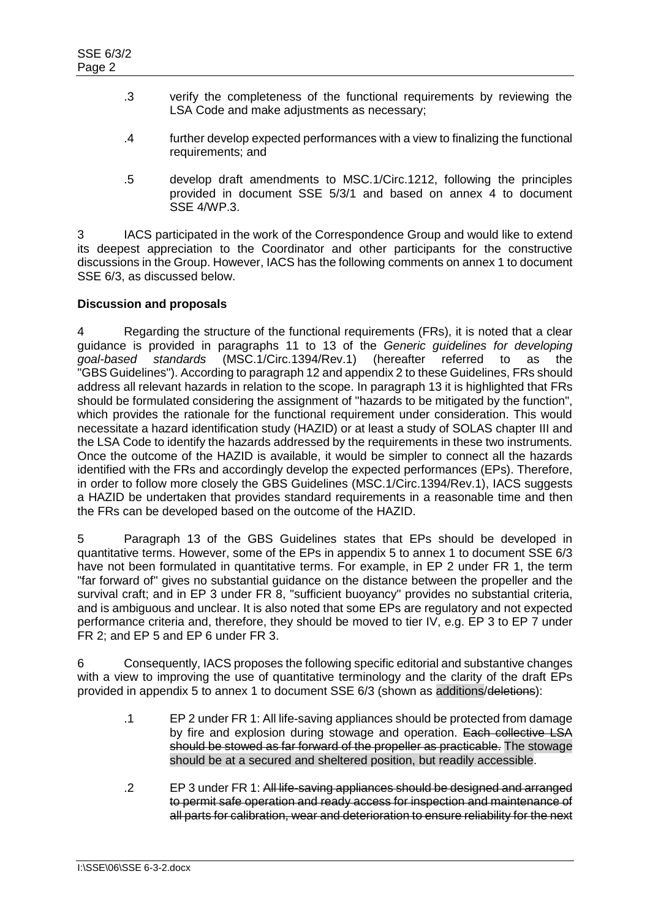- .3 verify the completeness of the functional requirements by reviewing the LSA Code and make adjustments as necessary;
- .4 further develop expected performances with a view to finalizing the functional requirements; and
- .5 develop draft amendments to MSC.1/Circ.1212, following the principles provided in document SSE 5/3/1 and based on annex 4 to document SSE 4/WP.3.

3 IACS participated in the work of the Correspondence Group and would like to extend its deepest appreciation to the Coordinator and other participants for the constructive discussions in the Group. However, IACS has the following comments on annex 1 to document SSE 6/3, as discussed below.

# **Discussion and proposals**

4 Regarding the structure of the functional requirements (FRs), it is noted that a clear guidance is provided in paragraphs 11 to 13 of the *Generic guidelines for developing goal-based standards* (MSC.1/Circ.1394/Rev.1) (hereafter referred to as the "GBS Guidelines"). According to paragraph 12 and appendix 2 to these Guidelines, FRs should address all relevant hazards in relation to the scope. In paragraph 13 it is highlighted that FRs should be formulated considering the assignment of "hazards to be mitigated by the function", which provides the rationale for the functional requirement under consideration. This would necessitate a hazard identification study (HAZID) or at least a study of SOLAS chapter III and the LSA Code to identify the hazards addressed by the requirements in these two instruments. Once the outcome of the HAZID is available, it would be simpler to connect all the hazards identified with the FRs and accordingly develop the expected performances (EPs). Therefore, in order to follow more closely the GBS Guidelines (MSC.1/Circ.1394/Rev.1), IACS suggests a HAZID be undertaken that provides standard requirements in a reasonable time and then the FRs can be developed based on the outcome of the HAZID.

5 Paragraph 13 of the GBS Guidelines states that EPs should be developed in quantitative terms. However, some of the EPs in appendix 5 to annex 1 to document SSE 6/3 have not been formulated in quantitative terms. For example, in EP 2 under FR 1, the term "far forward of" gives no substantial guidance on the distance between the propeller and the survival craft; and in EP 3 under FR 8, "sufficient buoyancy" provides no substantial criteria, and is ambiguous and unclear. It is also noted that some EPs are regulatory and not expected performance criteria and, therefore, they should be moved to tier IV, e.g. EP 3 to EP 7 under FR 2; and EP 5 and EP 6 under FR 3.

6 Consequently, IACS proposes the following specific editorial and substantive changes with a view to improving the use of quantitative terminology and the clarity of the draft EPs provided in appendix 5 to annex 1 to document SSE 6/3 (shown as additions/deletions):

- .1 EP 2 under FR 1: All life-saving appliances should be protected from damage by fire and explosion during stowage and operation. Each collective LSA should be stowed as far forward of the propeller as practicable. The stowage should be at a secured and sheltered position, but readily accessible.
- .2 EP 3 under FR 1: All life-saving appliances should be designed and arranged to permit safe operation and ready access for inspection and maintenance of all parts for calibration, wear and deterioration to ensure reliability for the next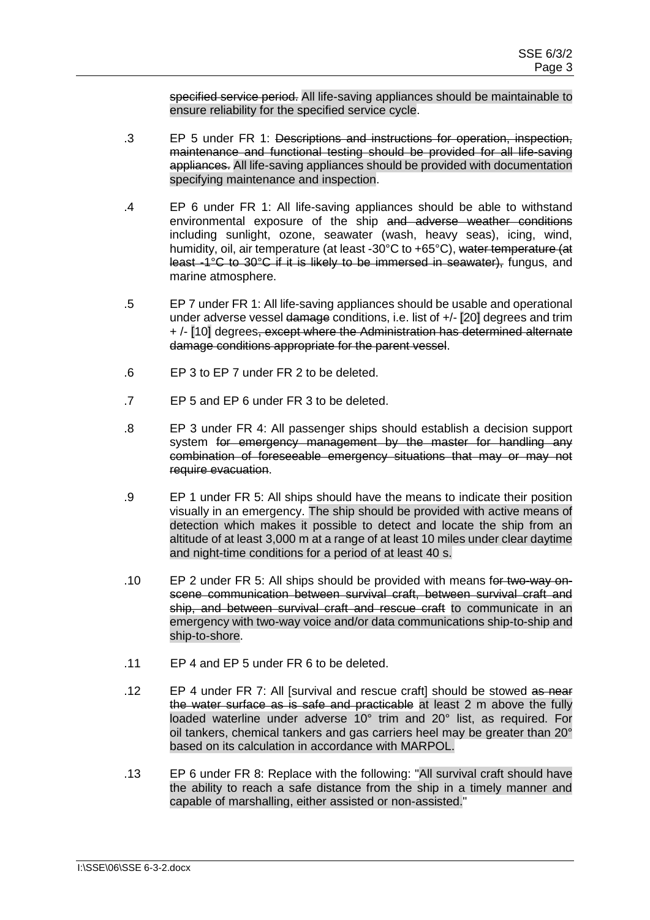specified service period. All life-saving appliances should be maintainable to ensure reliability for the specified service cycle.

- .3 EP 5 under FR 1: Descriptions and instructions for operation, inspection, maintenance and functional testing should be provided for all life-saving appliances. All life-saving appliances should be provided with documentation specifying maintenance and inspection.
- .4 EP 6 under FR 1: All life-saving appliances should be able to withstand environmental exposure of the ship and adverse weather conditions including sunlight, ozone, seawater (wash, heavy seas), icing, wind, humidity, oil, air temperature (at least -30°C to +65°C), water temperature (at least -1°C to 30°C if it is likely to be immersed in seawater), fungus, and marine atmosphere.
- .5 EP 7 under FR 1: All life-saving appliances should be usable and operational under adverse vessel damage conditions, i.e. list of +/- [20] degrees and trim + /- [10] degrees, except where the Administration has determined alternate damage conditions appropriate for the parent vessel.
- .6 EP 3 to EP 7 under FR 2 to be deleted.
- .7 EP 5 and EP 6 under FR 3 to be deleted.
- .8 EP 3 under FR 4: All passenger ships should establish a decision support system for emergency management by the master for handling any combination of foreseeable emergency situations that may or may not require evacuation.
- .9 EP 1 under FR 5: All ships should have the means to indicate their position visually in an emergency. The ship should be provided with active means of detection which makes it possible to detect and locate the ship from an altitude of at least 3,000 m at a range of at least 10 miles under clear daytime and night-time conditions for a period of at least 40 s.
- .10 EP 2 under FR 5: All ships should be provided with means for two-way onscene communication between survival craft, between survival craft and ship, and between survival craft and rescue craft to communicate in an emergency with two-way voice and/or data communications ship-to-ship and ship-to-shore.
- .11 EP 4 and EP 5 under FR 6 to be deleted.
- .12 EP 4 under FR 7: All [survival and rescue craft] should be stowed as near the water surface as is safe and practicable at least 2 m above the fully loaded waterline under adverse 10° trim and 20° list, as required. For oil tankers, chemical tankers and gas carriers heel may be greater than 20° based on its calculation in accordance with MARPOL.
- .13 EP 6 under FR 8: Replace with the following: "All survival craft should have the ability to reach a safe distance from the ship in a timely manner and capable of marshalling, either assisted or non-assisted."